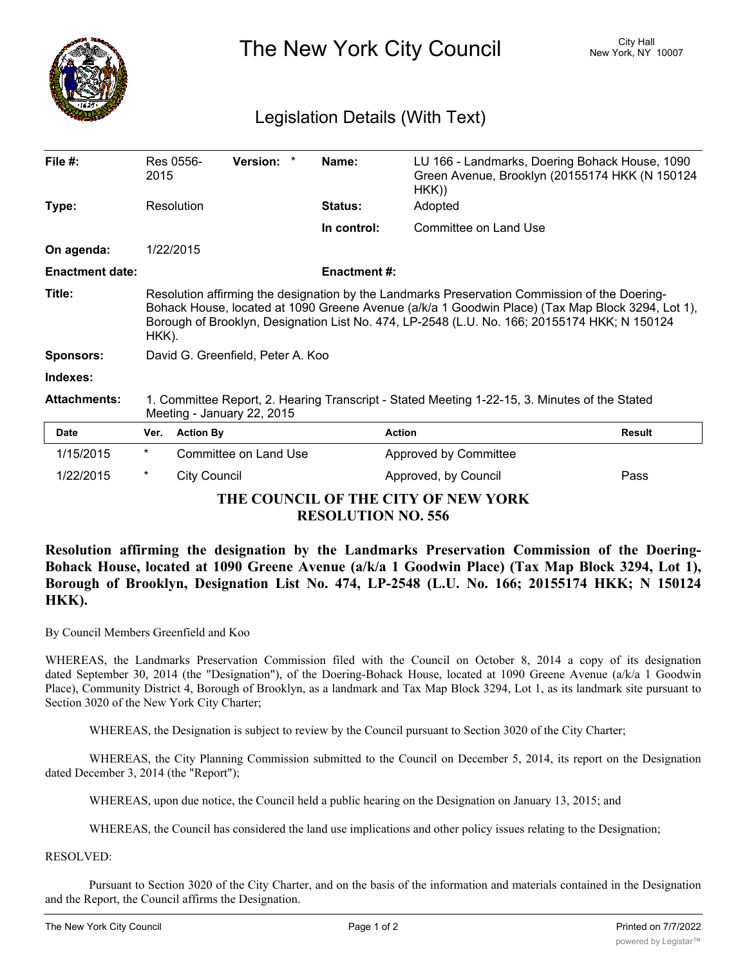

The New York City Council New York, NY 10007

## Legislation Details (With Text)

| File $#$ :                          | 2015                                                                                                                                                                                                                                                                                                       | Res 0556-           | <b>Version:</b><br>$\star$ | Name:               | LU 166 - Landmarks, Doering Bohack House, 1090<br>Green Avenue, Brooklyn (20155174 HKK (N 150124<br>HKK) |               |
|-------------------------------------|------------------------------------------------------------------------------------------------------------------------------------------------------------------------------------------------------------------------------------------------------------------------------------------------------------|---------------------|----------------------------|---------------------|----------------------------------------------------------------------------------------------------------|---------------|
| Type:                               |                                                                                                                                                                                                                                                                                                            | Resolution          |                            | <b>Status:</b>      | Adopted                                                                                                  |               |
|                                     |                                                                                                                                                                                                                                                                                                            |                     |                            | In control:         | Committee on Land Use                                                                                    |               |
| On agenda:                          |                                                                                                                                                                                                                                                                                                            | 1/22/2015           |                            |                     |                                                                                                          |               |
| <b>Enactment date:</b>              |                                                                                                                                                                                                                                                                                                            |                     |                            | <b>Enactment #:</b> |                                                                                                          |               |
| Title:                              | Resolution affirming the designation by the Landmarks Preservation Commission of the Doering-<br>Bohack House, located at 1090 Greene Avenue (a/k/a 1 Goodwin Place) (Tax Map Block 3294, Lot 1),<br>Borough of Brooklyn, Designation List No. 474, LP-2548 (L.U. No. 166; 20155174 HKK; N 150124<br>HKK). |                     |                            |                     |                                                                                                          |               |
| <b>Sponsors:</b>                    | David G. Greenfield, Peter A. Koo                                                                                                                                                                                                                                                                          |                     |                            |                     |                                                                                                          |               |
| Indexes:                            |                                                                                                                                                                                                                                                                                                            |                     |                            |                     |                                                                                                          |               |
| <b>Attachments:</b>                 | 1. Committee Report, 2. Hearing Transcript - Stated Meeting 1-22-15, 3. Minutes of the Stated<br>Meeting - January 22, 2015                                                                                                                                                                                |                     |                            |                     |                                                                                                          |               |
| <b>Date</b>                         | Ver.                                                                                                                                                                                                                                                                                                       | <b>Action By</b>    |                            |                     | <b>Action</b>                                                                                            | <b>Result</b> |
| 1/15/2015                           | $^\star$                                                                                                                                                                                                                                                                                                   |                     | Committee on Land Use      |                     | Approved by Committee                                                                                    |               |
| 1/22/2015                           | $^\star$                                                                                                                                                                                                                                                                                                   | <b>City Council</b> |                            |                     | Approved, by Council                                                                                     | Pass          |
| THE COUNCIL OF THE CITY OF NEW YORK |                                                                                                                                                                                                                                                                                                            |                     |                            |                     |                                                                                                          |               |

**RESOLUTION NO. 556**

**Resolution affirming the designation by the Landmarks Preservation Commission of the Doering-Bohack House, located at 1090 Greene Avenue (a/k/a 1 Goodwin Place) (Tax Map Block 3294, Lot 1), Borough of Brooklyn, Designation List No. 474, LP-2548 (L.U. No. 166; 20155174 HKK; N 150124 HKK).**

By Council Members Greenfield and Koo

WHEREAS, the Landmarks Preservation Commission filed with the Council on October 8, 2014 a copy of its designation dated September 30, 2014 (the "Designation"), of the Doering-Bohack House, located at 1090 Greene Avenue (a/k/a 1 Goodwin Place), Community District 4, Borough of Brooklyn, as a landmark and Tax Map Block 3294, Lot 1, as its landmark site pursuant to Section 3020 of the New York City Charter;

WHEREAS, the Designation is subject to review by the Council pursuant to Section 3020 of the City Charter;

WHEREAS, the City Planning Commission submitted to the Council on December 5, 2014, its report on the Designation dated December 3, 2014 (the "Report");

WHEREAS, upon due notice, the Council held a public hearing on the Designation on January 13, 2015; and

WHEREAS, the Council has considered the land use implications and other policy issues relating to the Designation;

RESOLVED:

Pursuant to Section 3020 of the City Charter, and on the basis of the information and materials contained in the Designation and the Report, the Council affirms the Designation.